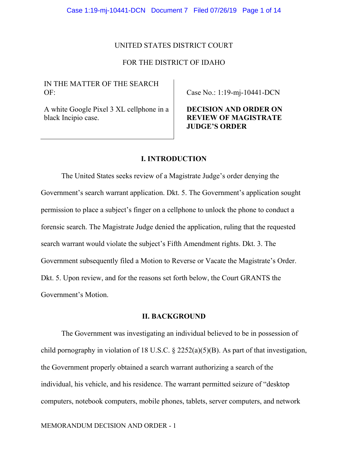#### UNITED STATES DISTRICT COURT

## FOR THE DISTRICT OF IDAHO

# IN THE MATTER OF THE SEARCH  $OF:$

Case No.: 1:19-mj-10441-DCN

A white Google Pixel 3 XL cellphone in a black Incipio case.

# **DECISION AND ORDER ON REVIEW OF MAGISTRATE JUDGE'S ORDER**

# **I. INTRODUCTION**

The United States seeks review of a Magistrate Judge's order denying the Government's search warrant application. Dkt. 5. The Government's application sought permission to place a subject's finger on a cellphone to unlock the phone to conduct a forensic search. The Magistrate Judge denied the application, ruling that the requested search warrant would violate the subject's Fifth Amendment rights. Dkt. 3. The Government subsequently filed a Motion to Reverse or Vacate the Magistrate's Order. Dkt. 5. Upon review, and for the reasons set forth below, the Court GRANTS the Government's Motion.

## **II. BACKGROUND**

 The Government was investigating an individual believed to be in possession of child pornography in violation of 18 U.S.C.  $\S$  2252(a)(5)(B). As part of that investigation, the Government properly obtained a search warrant authorizing a search of the individual, his vehicle, and his residence. The warrant permitted seizure of "desktop computers, notebook computers, mobile phones, tablets, server computers, and network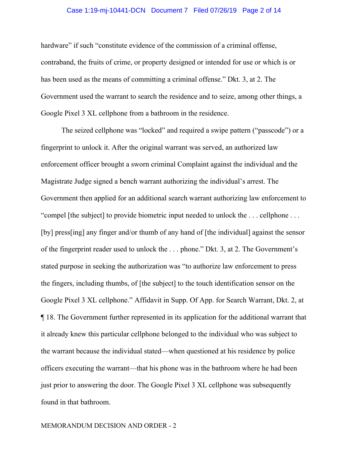## Case 1:19-mj-10441-DCN Document 7 Filed 07/26/19 Page 2 of 14

hardware" if such "constitute evidence of the commission of a criminal offense, contraband, the fruits of crime, or property designed or intended for use or which is or has been used as the means of committing a criminal offense." Dkt. 3, at 2. The Government used the warrant to search the residence and to seize, among other things, a Google Pixel 3 XL cellphone from a bathroom in the residence.

 The seized cellphone was "locked" and required a swipe pattern ("passcode") or a fingerprint to unlock it. After the original warrant was served, an authorized law enforcement officer brought a sworn criminal Complaint against the individual and the Magistrate Judge signed a bench warrant authorizing the individual's arrest. The Government then applied for an additional search warrant authorizing law enforcement to "compel [the subject] to provide biometric input needed to unlock the . . . cellphone . . . [by] press[ing] any finger and/or thumb of any hand of [the individual] against the sensor of the fingerprint reader used to unlock the . . . phone." Dkt. 3, at 2. The Government's stated purpose in seeking the authorization was "to authorize law enforcement to press the fingers, including thumbs, of [the subject] to the touch identification sensor on the Google Pixel 3 XL cellphone." Affidavit in Supp. Of App. for Search Warrant, Dkt. 2, at ¶ 18. The Government further represented in its application for the additional warrant that it already knew this particular cellphone belonged to the individual who was subject to the warrant because the individual stated—when questioned at his residence by police officers executing the warrant—that his phone was in the bathroom where he had been just prior to answering the door. The Google Pixel 3 XL cellphone was subsequently found in that bathroom.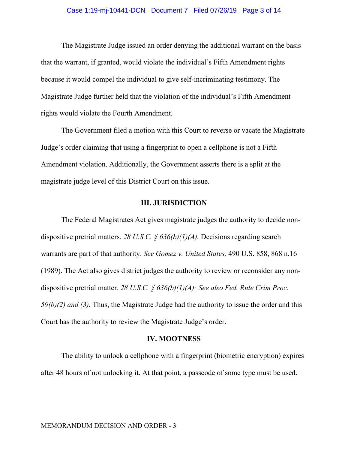#### Case 1:19-mj-10441-DCN Document 7 Filed 07/26/19 Page 3 of 14

 The Magistrate Judge issued an order denying the additional warrant on the basis that the warrant, if granted, would violate the individual's Fifth Amendment rights because it would compel the individual to give self-incriminating testimony. The Magistrate Judge further held that the violation of the individual's Fifth Amendment rights would violate the Fourth Amendment.

 The Government filed a motion with this Court to reverse or vacate the Magistrate Judge's order claiming that using a fingerprint to open a cellphone is not a Fifth Amendment violation. Additionally, the Government asserts there is a split at the magistrate judge level of this District Court on this issue.

## **III. JURISDICTION**

 The Federal Magistrates Act gives magistrate judges the authority to decide nondispositive pretrial matters. *28 U.S.C. § 636(b)(1)(A).* Decisions regarding search warrants are part of that authority. *See Gomez v. United States,* 490 U.S. 858, 868 n.16 (1989). The Act also gives district judges the authority to review or reconsider any nondispositive pretrial matter. *28 U.S.C. § 636(b)(1)(A); See also Fed. Rule Crim Proc. 59(b)(2) and (3).* Thus, the Magistrate Judge had the authority to issue the order and this Court has the authority to review the Magistrate Judge's order.

## **IV. MOOTNESS**

 The ability to unlock a cellphone with a fingerprint (biometric encryption) expires after 48 hours of not unlocking it. At that point, a passcode of some type must be used.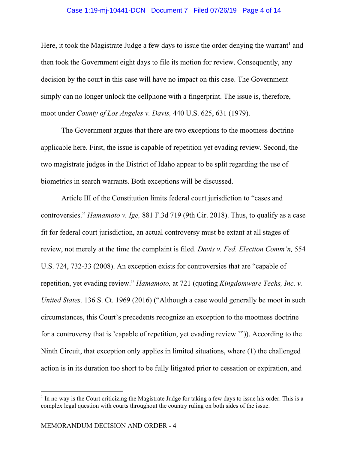#### Case 1:19-mj-10441-DCN Document 7 Filed 07/26/19 Page 4 of 14

Here, it took the Magistrate Judge a few days to issue the order denying the warrant<sup>1</sup> and then took the Government eight days to file its motion for review. Consequently, any decision by the court in this case will have no impact on this case. The Government simply can no longer unlock the cellphone with a fingerprint. The issue is, therefore, moot under *County of Los Angeles v. Davis,* 440 U.S. 625, 631 (1979).

 The Government argues that there are two exceptions to the mootness doctrine applicable here. First, the issue is capable of repetition yet evading review. Second, the two magistrate judges in the District of Idaho appear to be split regarding the use of biometrics in search warrants. Both exceptions will be discussed.

 Article III of the Constitution limits federal court jurisdiction to "cases and controversies." *Hamamoto v. Ige,* 881 F.3d 719 (9th Cir. 2018). Thus, to qualify as a case fit for federal court jurisdiction, an actual controversy must be extant at all stages of review, not merely at the time the complaint is filed. *Davis v. Fed. Election Comm'n,* 554 U.S. 724, 732-33 (2008). An exception exists for controversies that are "capable of repetition, yet evading review." *Hamamoto,* at 721 (quoting *Kingdomware Techs, Inc. v. United States,* 136 S. Ct. 1969 (2016) ("Although a case would generally be moot in such circumstances, this Court's precedents recognize an exception to the mootness doctrine for a controversy that is 'capable of repetition, yet evading review.'")). According to the Ninth Circuit, that exception only applies in limited situations, where (1) the challenged action is in its duration too short to be fully litigated prior to cessation or expiration, and

<sup>&</sup>lt;sup>1</sup> In no way is the Court criticizing the Magistrate Judge for taking a few days to issue his order. This is a complex legal question with courts throughout the country ruling on both sides of the issue.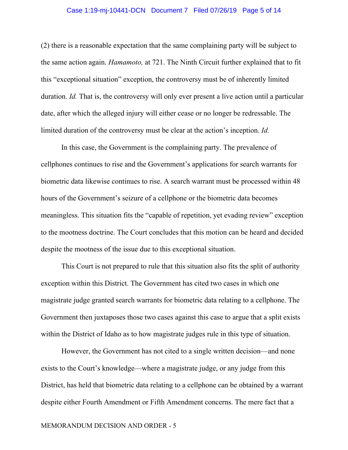## Case 1:19-mj-10441-DCN Document 7 Filed 07/26/19 Page 5 of 14

(2) there is a reasonable expectation that the same complaining party will be subject to the same action again. *Hamamoto,* at 721. The Ninth Circuit further explained that to fit this "exceptional situation" exception, the controversy must be of inherently limited duration. *Id.* That is, the controversy will only ever present a live action until a particular date, after which the alleged injury will either cease or no longer be redressable. The limited duration of the controversy must be clear at the action's inception. *Id.*

In this case, the Government is the complaining party. The prevalence of cellphones continues to rise and the Government's applications for search warrants for biometric data likewise continues to rise. A search warrant must be processed within 48 hours of the Government's seizure of a cellphone or the biometric data becomes meaningless. This situation fits the "capable of repetition, yet evading review" exception to the mootness doctrine. The Court concludes that this motion can be heard and decided despite the mootness of the issue due to this exceptional situation.

 This Court is not prepared to rule that this situation also fits the split of authority exception within this District. The Government has cited two cases in which one magistrate judge granted search warrants for biometric data relating to a cellphone. The Government then juxtaposes those two cases against this case to argue that a split exists within the District of Idaho as to how magistrate judges rule in this type of situation.

However, the Government has not cited to a single written decision—and none exists to the Court's knowledge—where a magistrate judge, or any judge from this District, has held that biometric data relating to a cellphone can be obtained by a warrant despite either Fourth Amendment or Fifth Amendment concerns. The mere fact that a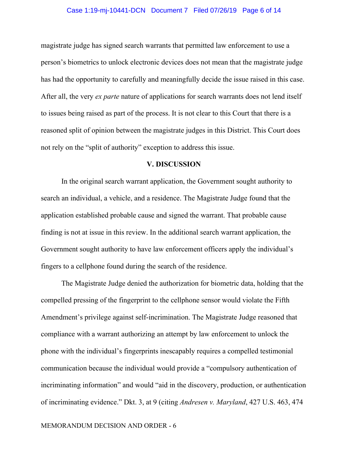## Case 1:19-mj-10441-DCN Document 7 Filed 07/26/19 Page 6 of 14

magistrate judge has signed search warrants that permitted law enforcement to use a person's biometrics to unlock electronic devices does not mean that the magistrate judge has had the opportunity to carefully and meaningfully decide the issue raised in this case. After all, the very *ex parte* nature of applications for search warrants does not lend itself to issues being raised as part of the process. It is not clear to this Court that there is a reasoned split of opinion between the magistrate judges in this District. This Court does not rely on the "split of authority" exception to address this issue.

#### **V. DISCUSSION**

In the original search warrant application, the Government sought authority to search an individual, a vehicle, and a residence. The Magistrate Judge found that the application established probable cause and signed the warrant. That probable cause finding is not at issue in this review. In the additional search warrant application, the Government sought authority to have law enforcement officers apply the individual's fingers to a cellphone found during the search of the residence.

 The Magistrate Judge denied the authorization for biometric data, holding that the compelled pressing of the fingerprint to the cellphone sensor would violate the Fifth Amendment's privilege against self-incrimination. The Magistrate Judge reasoned that compliance with a warrant authorizing an attempt by law enforcement to unlock the phone with the individual's fingerprints inescapably requires a compelled testimonial communication because the individual would provide a "compulsory authentication of incriminating information" and would "aid in the discovery, production, or authentication of incriminating evidence." Dkt. 3, at 9 (citing *Andresen v. Maryland*, 427 U.S. 463, 474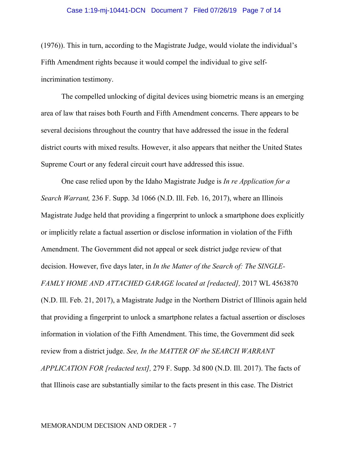#### Case 1:19-mj-10441-DCN Document 7 Filed 07/26/19 Page 7 of 14

(1976)). This in turn, according to the Magistrate Judge, would violate the individual's Fifth Amendment rights because it would compel the individual to give selfincrimination testimony.

The compelled unlocking of digital devices using biometric means is an emerging area of law that raises both Fourth and Fifth Amendment concerns. There appears to be several decisions throughout the country that have addressed the issue in the federal district courts with mixed results. However, it also appears that neither the United States Supreme Court or any federal circuit court have addressed this issue.

 One case relied upon by the Idaho Magistrate Judge is *In re Application for a Search Warrant,* 236 F. Supp. 3d 1066 (N.D. Ill. Feb. 16, 2017), where an Illinois Magistrate Judge held that providing a fingerprint to unlock a smartphone does explicitly or implicitly relate a factual assertion or disclose information in violation of the Fifth Amendment. The Government did not appeal or seek district judge review of that decision. However, five days later, in *In the Matter of the Search of: The SINGLE-FAMLY HOME AND ATTACHED GARAGE located at [redacted],* 2017 WL 4563870 (N.D. Ill. Feb. 21, 2017), a Magistrate Judge in the Northern District of Illinois again held that providing a fingerprint to unlock a smartphone relates a factual assertion or discloses information in violation of the Fifth Amendment. This time, the Government did seek review from a district judge. *See, In the MATTER OF the SEARCH WARRANT APPLICATION FOR [redacted text],* 279 F. Supp. 3d 800 (N.D. Ill. 2017). The facts of that Illinois case are substantially similar to the facts present in this case. The District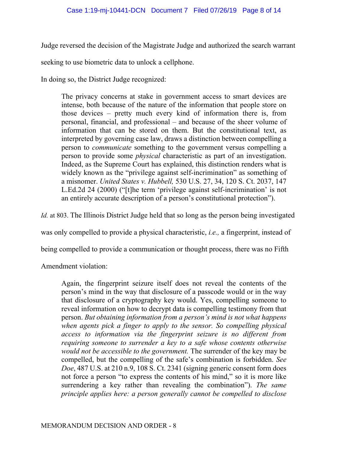Judge reversed the decision of the Magistrate Judge and authorized the search warrant

seeking to use biometric data to unlock a cellphone.

In doing so, the District Judge recognized:

The privacy concerns at stake in government access to smart devices are intense, both because of the nature of the information that people store on those devices – pretty much every kind of information there is, from personal, financial, and professional – and because of the sheer volume of information that can be stored on them. But the constitutional text, as interpreted by governing case law, draws a distinction between compelling a person to *communicate* something to the government versus compelling a person to provide some *physical* characteristic as part of an investigation. Indeed, as the Supreme Court has explained, this distinction renders what is widely known as the "privilege against self-incrimination" as something of a misnomer. *United States v. Hubbell,* 530 U.S. 27, 34, 120 S. Ct. 2037, 147 L.Ed.2d 24 (2000) ("[t]he term 'privilege against self-incrimination' is not an entirely accurate description of a person's constitutional protection").

*Id.* at 803. The Illinois District Judge held that so long as the person being investigated

was only compelled to provide a physical characteristic, *i.e.,* a fingerprint, instead of

being compelled to provide a communication or thought process, there was no Fifth

Amendment violation:

Again, the fingerprint seizure itself does not reveal the contents of the person's mind in the way that disclosure of a passcode would or in the way that disclosure of a cryptography key would. Yes, compelling someone to reveal information on how to decrypt data is compelling testimony from that person. *But obtaining information from a person's mind is not what happens when agents pick a finger to apply to the sensor. So compelling physical access to information via the fingerprint seizure is no different from requiring someone to surrender a key to a safe whose contents otherwise would not be accessible to the government.* The surrender of the key may be compelled, but the compelling of the safe's combination is forbidden. *See Doe*, 487 U.S. at 210 n.9, 108 S. Ct. 2341 (signing generic consent form does not force a person "to express the contents of his mind," so it is more like surrendering a key rather than revealing the combination"). *The same principle applies here: a person generally cannot be compelled to disclose*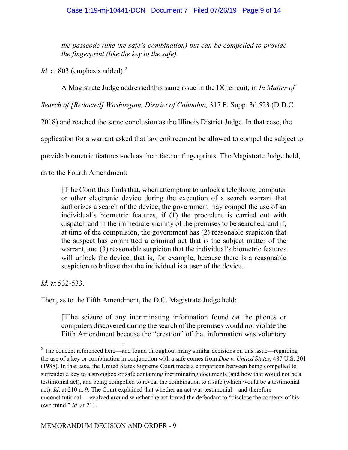*the passcode (like the safe's combination) but can be compelled to provide the fingerprint (like the key to the safe).* 

*Id.* at 803 (emphasis added).<sup>2</sup>

A Magistrate Judge addressed this same issue in the DC circuit, in *In Matter of* 

*Search of [Redacted] Washington, District of Columbia,* 317 F. Supp. 3d 523 (D.D.C.

2018) and reached the same conclusion as the Illinois District Judge. In that case, the

application for a warrant asked that law enforcement be allowed to compel the subject to

provide biometric features such as their face or fingerprints. The Magistrate Judge held,

as to the Fourth Amendment:

[T]he Court thus finds that, when attempting to unlock a telephone, computer or other electronic device during the execution of a search warrant that authorizes a search of the device, the government may compel the use of an individual's biometric features, if (1) the procedure is carried out with dispatch and in the immediate vicinity of the premises to be searched, and if, at time of the compulsion, the government has (2) reasonable suspicion that the suspect has committed a criminal act that is the subject matter of the warrant, and (3) reasonable suspicion that the individual's biometric features will unlock the device, that is, for example, because there is a reasonable suspicion to believe that the individual is a user of the device.

*Id.* at 532-533.

Then, as to the Fifth Amendment, the D.C. Magistrate Judge held:

[T]he seizure of any incriminating information found *on* the phones or computers discovered during the search of the premises would not violate the Fifth Amendment because the "creation" of that information was voluntary

<sup>&</sup>lt;sup>2</sup> The concept referenced here—and found throughout many similar decisions on this issue—regarding the use of a key or combination in conjunction with a safe comes from *Doe v. United States*, 487 U.S. 201 (1988). In that case, the United States Supreme Court made a comparison between being compelled to surrender a key to a strongbox or safe containing incriminating documents (and how that would not be a testimonial act), and being compelled to reveal the combination to a safe (which would be a testimonial act). *Id*. at 210 n. 9. The Court explained that whether an act was testimonial—and therefore unconstitutional—revolved around whether the act forced the defendant to "disclose the contents of his own mind." *Id*. at 211.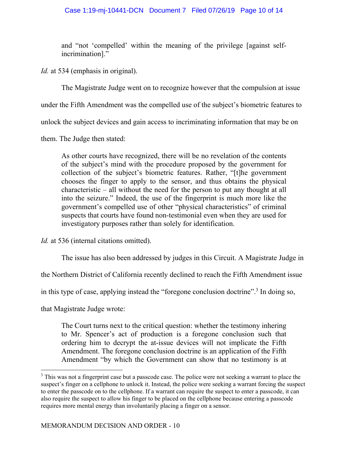## Case 1:19-mj-10441-DCN Document 7 Filed 07/26/19 Page 10 of 14

and "not 'compelled' within the meaning of the privilege [against selfincrimination]."

*Id.* at 534 (emphasis in original).

The Magistrate Judge went on to recognize however that the compulsion at issue

under the Fifth Amendment was the compelled use of the subject's biometric features to

unlock the subject devices and gain access to incriminating information that may be on

them. The Judge then stated:

As other courts have recognized, there will be no revelation of the contents of the subject's mind with the procedure proposed by the government for collection of the subject's biometric features. Rather, "[t]he government chooses the finger to apply to the sensor, and thus obtains the physical characteristic – all without the need for the person to put any thought at all into the seizure." Indeed, the use of the fingerprint is much more like the government's compelled use of other "physical characteristics" of criminal suspects that courts have found non-testimonial even when they are used for investigatory purposes rather than solely for identification.

*Id.* at 536 (internal citations omitted).

The issue has also been addressed by judges in this Circuit. A Magistrate Judge in

the Northern District of California recently declined to reach the Fifth Amendment issue

in this type of case, applying instead the "foregone conclusion doctrine".<sup>3</sup> In doing so,

that Magistrate Judge wrote:

The Court turns next to the critical question: whether the testimony inhering to Mr. Spencer's act of production is a foregone conclusion such that ordering him to decrypt the at-issue devices will not implicate the Fifth Amendment. The foregone conclusion doctrine is an application of the Fifth Amendment "by which the Government can show that no testimony is at

 $3$  This was not a fingerprint case but a passcode case. The police were not seeking a warrant to place the suspect's finger on a cellphone to unlock it. Instead, the police were seeking a warrant forcing the suspect to enter the passcode on to the cellphone. If a warrant can require the suspect to enter a passcode, it can also require the suspect to allow his finger to be placed on the cellphone because entering a passcode requires more mental energy than involuntarily placing a finger on a sensor.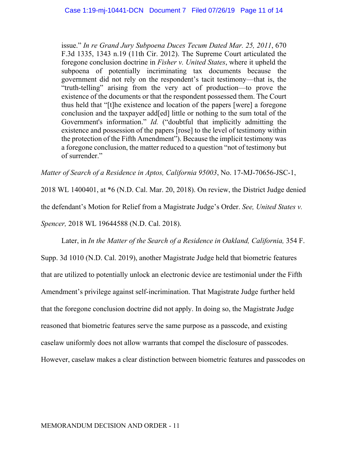issue." *In re Grand Jury Subpoena Duces Tecum Dated Mar. 25, 2011*, 670 F.3d 1335, 1343 n.19 (11th Cir. 2012). The Supreme Court articulated the foregone conclusion doctrine in *Fisher v. United States*, where it upheld the subpoena of potentially incriminating tax documents because the government did not rely on the respondent's tacit testimony—that is, the "truth-telling" arising from the very act of production—to prove the existence of the documents or that the respondent possessed them. The Court thus held that "[t]he existence and location of the papers [were] a foregone conclusion and the taxpayer add[ed] little or nothing to the sum total of the Government's information." *Id.* ("doubtful that implicitly admitting the existence and possession of the papers [rose] to the level of testimony within the protection of the Fifth Amendment"). Because the implicit testimony was a foregone conclusion, the matter reduced to a question "not of testimony but of surrender."

*Matter of Search of a Residence in Aptos, California 95003*, No. 17-MJ-70656-JSC-1,

2018 WL 1400401, at \*6 (N.D. Cal. Mar. 20, 2018). On review, the District Judge denied the defendant's Motion for Relief from a Magistrate Judge's Order. *See, United States v. Spencer,* 2018 WL 19644588 (N.D. Cal. 2018).

Later, in *In the Matter of the Search of a Residence in Oakland, California, 354 F.* Supp. 3d 1010 (N.D. Cal. 2019), another Magistrate Judge held that biometric features that are utilized to potentially unlock an electronic device are testimonial under the Fifth Amendment's privilege against self-incrimination. That Magistrate Judge further held that the foregone conclusion doctrine did not apply. In doing so, the Magistrate Judge reasoned that biometric features serve the same purpose as a passcode, and existing caselaw uniformly does not allow warrants that compel the disclosure of passcodes. However, caselaw makes a clear distinction between biometric features and passcodes on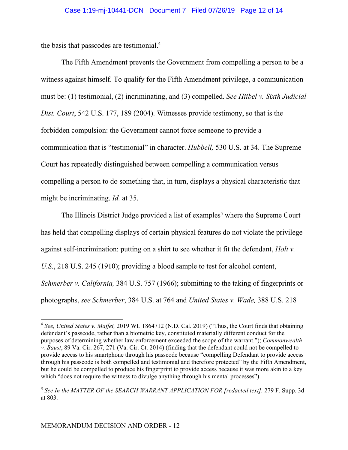the basis that passcodes are testimonial.4

The Fifth Amendment prevents the Government from compelling a person to be a witness against himself. To qualify for the Fifth Amendment privilege, a communication must be: (1) testimonial, (2) incriminating, and (3) compelled. *See Hiibel v. Sixth Judicial Dist. Court*, 542 U.S. 177, 189 (2004). Witnesses provide testimony, so that is the forbidden compulsion: the Government cannot force someone to provide a communication that is "testimonial" in character. *Hubbell,* 530 U.S. at 34. The Supreme Court has repeatedly distinguished between compelling a communication versus compelling a person to do something that, in turn, displays a physical characteristic that might be incriminating. *Id.* at 35.

The Illinois District Judge provided a list of examples<sup>5</sup> where the Supreme Court has held that compelling displays of certain physical features do not violate the privilege against self-incrimination: putting on a shirt to see whether it fit the defendant, *Holt v. U.S.*, 218 U.S. 245 (1910); providing a blood sample to test for alcohol content, *Schmerber v. California,* 384 U.S. 757 (1966); submitting to the taking of fingerprints or photographs, *see Schmerber*, 384 U.S. at 764 and *United States v. Wade,* 388 U.S. 218

<sup>4</sup> *See, United States v. Maffei,* 2019 WL 1864712 (N.D. Cal. 2019) ("Thus, the Court finds that obtaining defendant's passcode, rather than a biometric key, constituted materially different conduct for the purposes of determining whether law enforcement exceeded the scope of the warrant."); *Commonwealth v. Baust*, 89 Va. Cir. 267, 271 (Va. Cir. Ct. 2014) (finding that the defendant could not be compelled to provide access to his smartphone through his passcode because "compelling Defendant to provide access through his passcode is both compelled and testimonial and therefore protected" by the Fifth Amendment, but he could be compelled to produce his fingerprint to provide access because it was more akin to a key which "does not require the witness to divulge anything through his mental processes").

<sup>&</sup>lt;sup>5</sup> See In the MATTER OF the SEARCH WARRANT APPLICATION FOR [redacted text], 279 F. Supp. 3d at 803.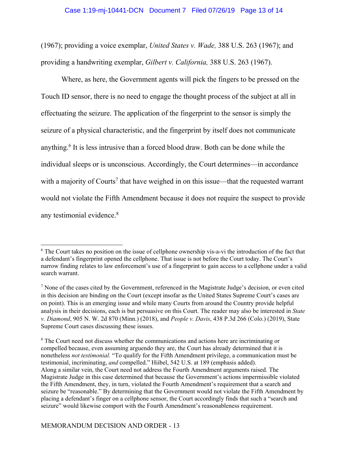#### Case 1:19-mj-10441-DCN Document 7 Filed 07/26/19 Page 13 of 14

(1967); providing a voice exemplar, *United States v. Wade,* 388 U.S. 263 (1967); and providing a handwriting exemplar, *Gilbert v. California,* 388 U.S. 263 (1967).

Where, as here, the Government agents will pick the fingers to be pressed on the Touch ID sensor, there is no need to engage the thought process of the subject at all in effectuating the seizure. The application of the fingerprint to the sensor is simply the seizure of a physical characteristic, and the fingerprint by itself does not communicate anything.<sup>6</sup> It is less intrusive than a forced blood draw. Both can be done while the individual sleeps or is unconscious. Accordingly, the Court determines—in accordance with a majority of Courts<sup>7</sup> that have weighed in on this issue—that the requested warrant would not violate the Fifth Amendment because it does not require the suspect to provide any testimonial evidence.<sup>8</sup>

<sup>&</sup>lt;sup>6</sup> The Court takes no position on the issue of cellphone ownership vis-a-vi the introduction of the fact that a defendant's fingerprint opened the cellphone. That issue is not before the Court today. The Court's narrow finding relates to law enforcement's use of a fingerprint to gain access to a cellphone under a valid search warrant.

 $<sup>7</sup>$  None of the cases cited by the Government, referenced in the Magistrate Judge's decision, or even cited</sup> in this decision are binding on the Court (except insofar as the United States Supreme Court's cases are on point). This is an emerging issue and while many Courts from around the Country provide helpful analysis in their decisions, each is but persuasive on this Court. The reader may also be interested in *State v. Diamond*, 905 N. W. 2d 870 (Minn.) (2018), and *People v. Davis*, 438 P.3d 266 (Colo.) (2019), State Supreme Court cases discussing these issues.

<sup>&</sup>lt;sup>8</sup> The Court need not discuss whether the communications and actions here are incriminating or compelled because, even assuming arguendo they are, the Court has already determined that it is nonetheless *not testimonial.* "To qualify for the Fifth Amendment privilege, a communication must be testimonial, incriminating, *and* compelled." Hiibel, 542 U.S. at 189 (emphasis added). Along a similar vein, the Court need not address the Fourth Amendment arguments raised. The Magistrate Judge in this case determined that because the Government's actions impermissible violated the Fifth Amendment, they, in turn, violated the Fourth Amendment's requirement that a search and seizure be "reasonable." By determining that the Government would not violate the Fifth Amendment by placing a defendant's finger on a cellphone sensor, the Court accordingly finds that such a "search and seizure" would likewise comport with the Fourth Amendment's reasonableness requirement.